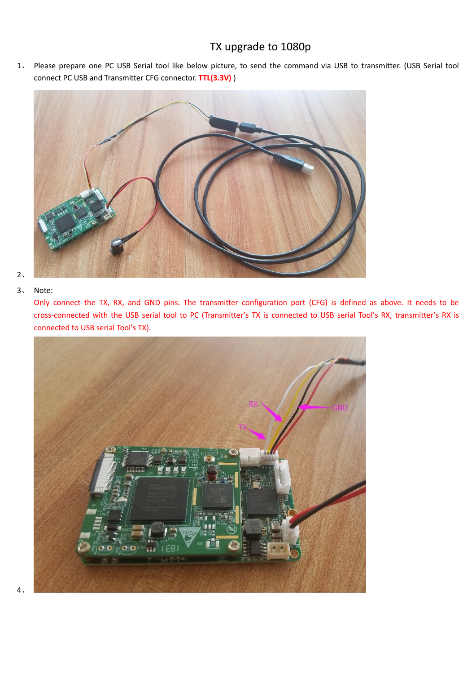## TX upgrade to 1080p

1、 Please prepare one PC USB Serial tool like below picture, to send the command via USB to transmitter. (USB Serial tool connect PC USB and Transmitter CFG connector. **TTL(3.3V)** )



## 3、 Note:

Only connect the TX, RX, and GND pins. The transmitter configuration port (CFG) is defined as above. It needs to be cross-connected with the USB serial tool to PC (Transmitter's TX is connected to USB serial Tool's RX, transmitter's RX is connected to USB serial Tool's TX).

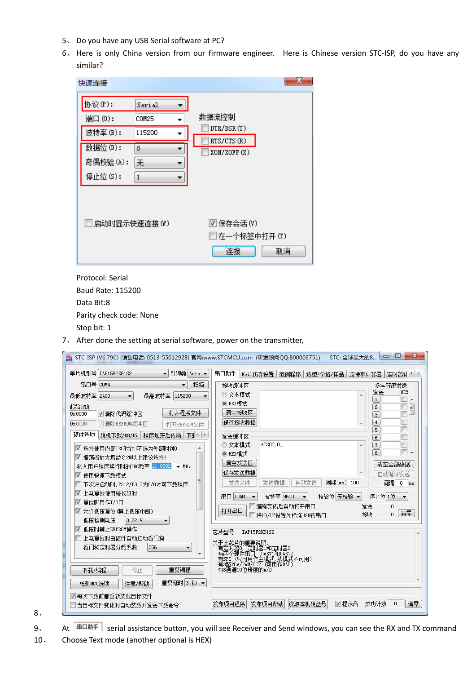- 5、 Do you have any USB Serial software at PC?
- 6、 Here is only China version from our firmware engineer. Here is Chinese version STC-ISP, do you have any similar?

| 快速连接                                                          |                                                     | x                                                  |
|---------------------------------------------------------------|-----------------------------------------------------|----------------------------------------------------|
| 协议(P):<br>端口(0):<br>波特率(B):<br>数据位(D):<br>奇偶校验(A):<br>停止位(S): | Serial<br>COM25<br>115200<br>8<br>无<br>$\mathbf{1}$ | 数据流控制<br>DTR/DSR(T)<br>RTS/CTS (R)<br>XON/XOFF (X) |
| □ 启动时显示快速连接(W)                                                |                                                     | ☑ 保存会话(V)<br>在一个标签中打开(T)<br>连接<br>取消               |

Protocol: Serial Baud Rate: 115200 Data Bit:8 Parity check code: None Stop bit: 1

7、 After done the setting at serial software, power on the transmitter,

| 单片机型号 IAP15F2K61S2<br>引脚数 Auto v<br>$\overline{\mathbf{v}}$                                                                                                                                                                                                                                                                                                                                                                                                                                                      | $\mathbf{x}$<br>$= 0$<br>▲ STC-ISP (V6.79C) (销售电话: 0513-55012928) 官网:www.STCMCU.com (研发顾问QQ:800003751) -- STC: 全球最大的8<br>串口助手<br>Kei1仿真设置 范例程序<br>选型/价格/样品<br>波特率计算器<br>定时器计 *                                                                                                                                                                                                                                                                                                                                                                                                                                                                                                                                                        |
|------------------------------------------------------------------------------------------------------------------------------------------------------------------------------------------------------------------------------------------------------------------------------------------------------------------------------------------------------------------------------------------------------------------------------------------------------------------------------------------------------------------|---------------------------------------------------------------------------------------------------------------------------------------------------------------------------------------------------------------------------------------------------------------------------------------------------------------------------------------------------------------------------------------------------------------------------------------------------------------------------------------------------------------------------------------------------------------------------------------------------------------------------------------------------------------------------------------------------------------------------------------|
| 串口号 COM4<br>扫描<br>$\star$<br>最低波特率 2400<br>最高波特率<br>115200<br>起始地址<br>打开程序文件<br>▼ 清除代码缓冲区<br>0x0000<br>√ 清除EEPROM缓冲区<br>0x0000<br>打开EEPROM文件<br>硬件选项<br>脱机下载/08/07 程序加密后传输<br>下引 *   *<br>▼ 选择使用内部IRC时钟(不选为外部时钟)<br>▼ 振荡器放大增益(12M以上建议选择)<br>输入用户程序运行时的IRC频率 11,0592<br>$+ MHz$<br>▽ 使用快速下载模式<br>下次冷启动时, P3.2/P3.3为0/0才可下载程序<br>▼ 上电复位使用较长延时<br>▼ 复位脚用作I/0口<br>▼ 允许低压复位 (禁止低压中断)<br>低压检测电压<br>3.82V<br>▼ 低压时禁止EEPROM操作<br>上电复位时由硬件自动启动看门狗<br>看门狗定时器分频系数<br>256<br>$\overline{\phantom{a}}$<br>重复编程<br>下载/编程<br>停止 | 接收缓冲区<br>多字符串发送<br>发送<br><b>HEX</b><br>◎文本模式<br>п<br>$\mathbf{1}$<br>木<br>● HEX模式<br>$\overline{2}$<br>E<br>清空接收区<br>m<br>$\overline{3}$<br>保存接收数据<br>$\overline{4}$<br>5<br>发送缓冲区<br>F<br>6<br>Г<br>ATS00, 0<br>◎文本模式<br>$7\phantom{.0}$<br>m<br>8<br>● HEX模式<br>$\overline{\phantom{a}}$<br>清空发送区<br>清空全部数据<br>保存发送数据<br>自动循环发送<br>发送文件<br>发送数据<br>自动发送<br>周期 (ms) 100<br>间隔<br>$\mathbf 0$<br>mS<br>校验位 无校验 ▼<br>停止位 1位<br>串口<br>COM4<br>波特率 9600<br>$\overline{\phantom{a}}$<br>□编程完成后自动打开串口<br>发送<br>$\mathbf 0$<br>打开串口<br>清零<br>接收<br>$\Omega$<br>□将U8/U7设置为标准USB转串口<br>芯片型号 : IAP15F2K61S2<br>关于此芯片的重要说明:<br>- 复定时器9, 定时器1和定时器2<br>肴病不羅件单口 ป็นถาโ和UÄKT2)<br>有SPI (只可用作主模式 从模式不可用)<br>有3路PCA/PWM/CCP (可用作DAC)<br>有8诵道10位精度的A/D |
| 重复延时 3 秒 ▼<br>检测MCU选项<br>注意/帮助<br>☑ 每次下载前都重新装载目标文件<br>当目标文件变化时自动装载并发送下载命令                                                                                                                                                                                                                                                                                                                                                                                                                                        | 发布项目程序<br>清零<br>发布项目帮助<br>读取本机硬盘号<br>√提示音<br>成功计数<br>0                                                                                                                                                                                                                                                                                                                                                                                                                                                                                                                                                                                                                                                                                |

8、

- 9、 At <sup>| 串口助手 |</sup> serial assistance button, you will see Receiver and Send windows, you can see the RX and TX command
- 10、 Choose Text mode (another optional is HEX)